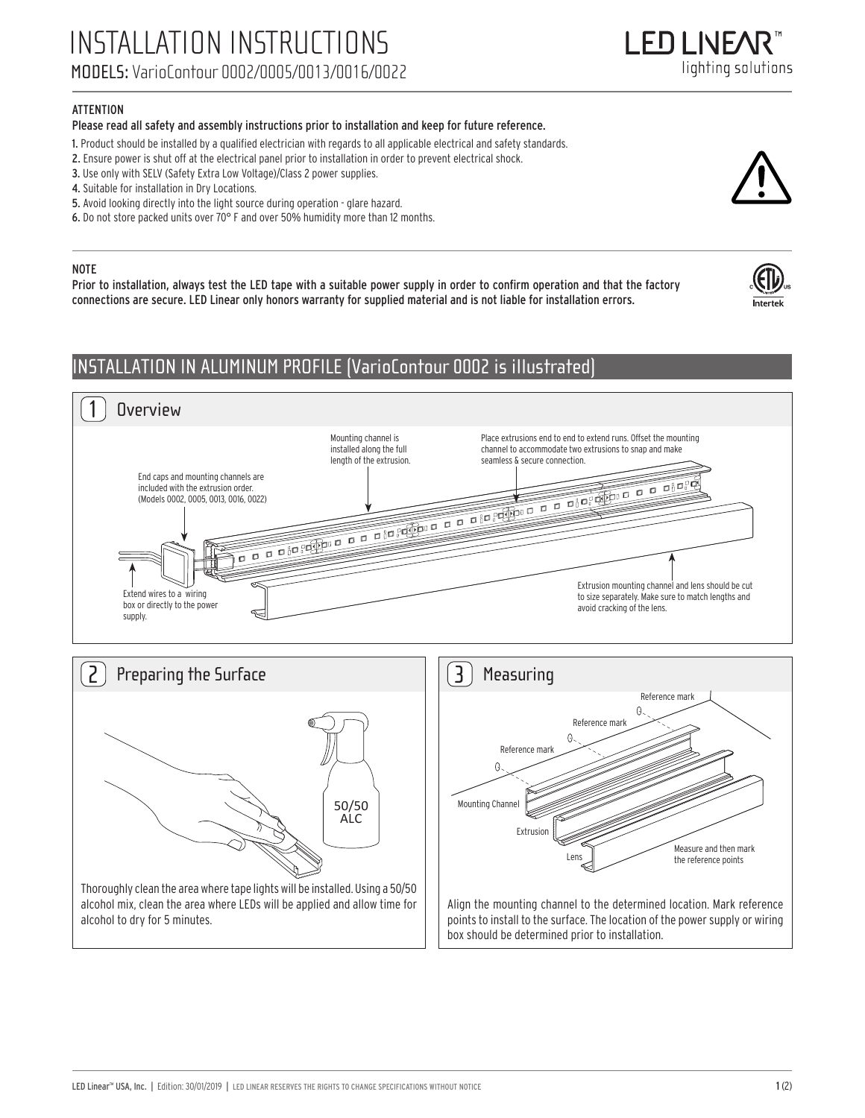## **ATTENTION**

### Please read all safety and assembly instructions prior to installation and keep for future reference.

- 1. Product should be installed by a qualified electrician with regards to all applicable electrical and safety standards.
- 2. Ensure power is shut off at the electrical panel prior to installation in order to prevent electrical shock.
- 3. Use only with SELV (Safety Extra Low Voltage)/Class 2 power supplies.
- 4. Suitable for installation in Dry Locations.
- 5. Avoid looking directly into the light source during operation glare hazard.
- 6. Do not store packed units over 70° F and over 50% humidity more than 12 months.

#### NOTE

Prior to installation, always test the LED tape with a suitable power supply in order to confirm operation and that the factory connections are secure. LED Linear only honors warranty for supplied material and is not liable for installation errors.

## INSTALLATION IN ALUMINUM PROFILE (VarioContour 0002 is illustrated)



points to install to the surface. The location of the power supply or wiring box should be determined prior to installation.